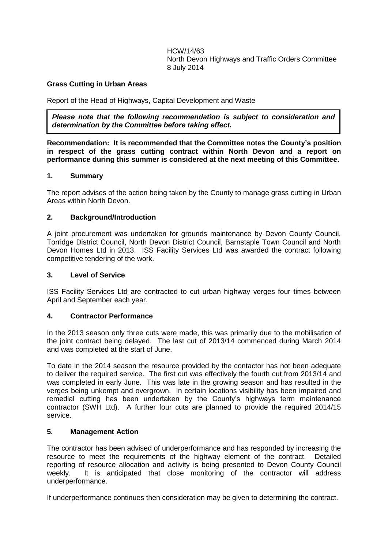HCW/14/63 North Devon Highways and Traffic Orders Committee 8 July 2014

## **Grass Cutting in Urban Areas**

Report of the Head of Highways, Capital Development and Waste

*Please note that the following recommendation is subject to consideration and determination by the Committee before taking effect.*

**Recommendation: It is recommended that the Committee notes the County's position in respect of the grass cutting contract within North Devon and a report on performance during this summer is considered at the next meeting of this Committee.**

## **1. Summary**

The report advises of the action being taken by the County to manage grass cutting in Urban Areas within North Devon.

## **2. Background/Introduction**

A joint procurement was undertaken for grounds maintenance by Devon County Council, Torridge District Council, North Devon District Council, Barnstaple Town Council and North Devon Homes Ltd in 2013. ISS Facility Services Ltd was awarded the contract following competitive tendering of the work.

#### **3. Level of Service**

ISS Facility Services Ltd are contracted to cut urban highway verges four times between April and September each year.

## **4. Contractor Performance**

In the 2013 season only three cuts were made, this was primarily due to the mobilisation of the joint contract being delayed. The last cut of 2013/14 commenced during March 2014 and was completed at the start of June.

To date in the 2014 season the resource provided by the contactor has not been adequate to deliver the required service. The first cut was effectively the fourth cut from 2013/14 and was completed in early June. This was late in the growing season and has resulted in the verges being unkempt and overgrown. In certain locations visibility has been impaired and remedial cutting has been undertaken by the County's highways term maintenance contractor (SWH Ltd). A further four cuts are planned to provide the required 2014/15 service.

## **5. Management Action**

The contractor has been advised of underperformance and has responded by increasing the resource to meet the requirements of the highway element of the contract. Detailed reporting of resource allocation and activity is being presented to Devon County Council weekly. It is anticipated that close monitoring of the contractor will address underperformance.

If underperformance continues then consideration may be given to determining the contract.